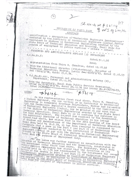$10.0$ e nublichad in  $\alpha$  $SLNo:4$  at  $p:5b|c|$ GOVERNMENT OF TAMIL HADU 8 VOPI OF 6190/93 ABSTRACT qualification - Recognition of "Technician Engineers Examinations" conducted by the Institute of Mechanical Engineers (India), Borbay as equivalent to Diploma in Mechanical Engineering awarded by the State Board of Technical Education and Training, Tamil Nadu for purpose of employment in public services - orders - issued. PERSONTEL AND ADMINISTRATIVE REFORMS (R) DEPARTMENT  $G.0.Ms.No.51$ dated: 31.1.96 1. Representation from Thiru M. Chandran, dated 12.10.92 2. From the Additional Director (Polytechnics), Director of Fechmical Education, Madras, letter No114329/Z/93, dated 15.10.93 3.  $G.O.Ms.NO.441$ , Personnel and Administrative Reforms  $(R)$ , 4. From the Secretary, Tanil Madu Public Service Commission, letter No.6190/D33/94, dated 20.12.94 and letter No.6190/PD-93,  $-000- \#56/$ ORDER:  $8.76101$ In his representation first read above, Thiru M. Chandran, a Diploma Engineer, who was working as an Instructor in Mechanical Engineering in Meenakshi Krishnan Polytechnic, Madras had requested that the Technician Engineer's Course conducted by the Institution of Mechanical Engineer's Course conducted by the Institution<br>of the Diploma in Mechanical Engineering be greated on par with, that<br>Technical Education, Tanil Nadu so as to continue his services in<br>the said Polytechnic. The The Additional Director of Technical Education in his letter second read above, has stated that in the 28th Meeting of the Board of Studies and Examinations of the Department of Technical Education Tamil Nadu held An 16:8.93, it has been resolved to recommens ... Executive that a pass in the Part I and Part II of Technician Engi-<br>neers, Examination conducted by the Institution of Technician Engi-Engineers (India) at par with the Diploma in Mechanical Engineering<br>maritimes of the State Board of Technical Education and Training, The issue was further examined in consultation with the Director of Technical Education and the Committee, constituted in the Government order third read above. The Secretary, Tamil Nadu Public Service Commission has stated that the Committee at its meeting held on 15.7.94 has recommended to the Government for recog hition of the Course in part I and Part II of Technical Lor recognical) Examination awarded by Institution of Mechanical Engineers (India), as equivaled by Institution of Mechanical Part Tamil Wadded by the State Roard of  $p.t. x...$